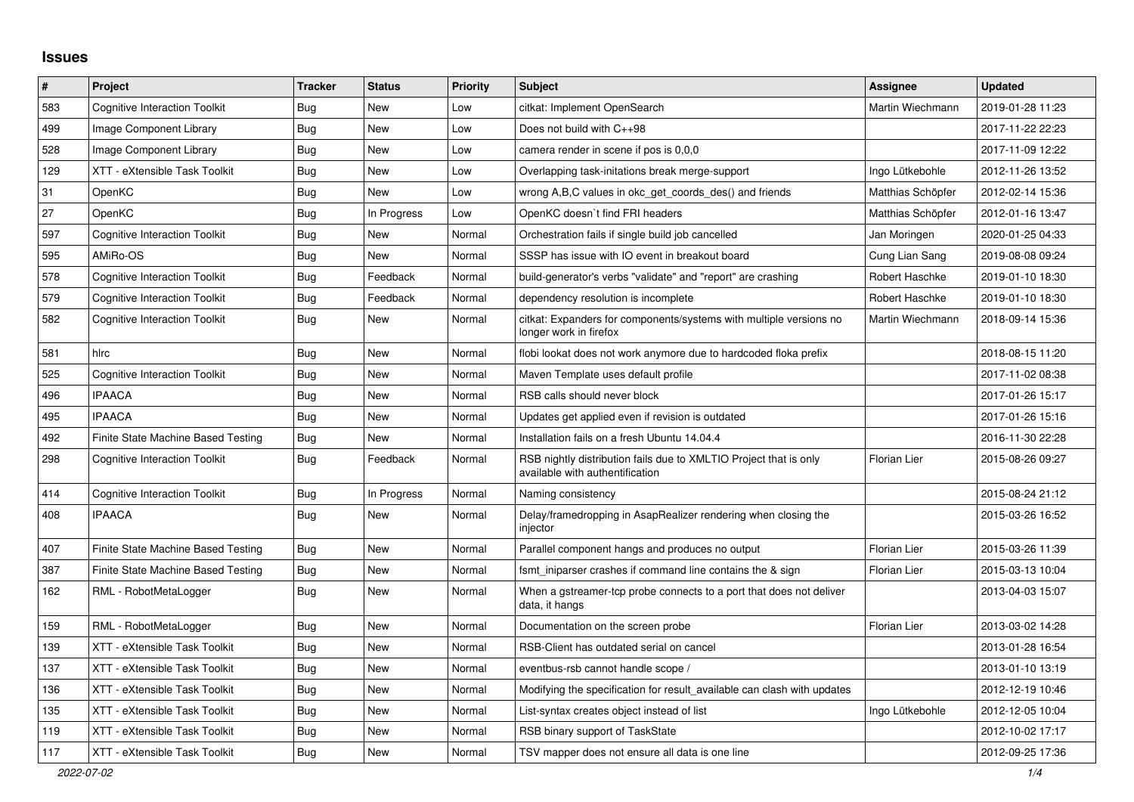## **Issues**

| #   | Project                              | <b>Tracker</b> | <b>Status</b> | <b>Priority</b> | <b>Subject</b>                                                                                       | Assignee          | <b>Updated</b>   |
|-----|--------------------------------------|----------------|---------------|-----------------|------------------------------------------------------------------------------------------------------|-------------------|------------------|
| 583 | <b>Cognitive Interaction Toolkit</b> | Bug            | New           | Low             | citkat: Implement OpenSearch                                                                         | Martin Wiechmann  | 2019-01-28 11:23 |
| 499 | Image Component Library              | Bug            | New           | Low             | Does not build with C++98                                                                            |                   | 2017-11-22 22:23 |
| 528 | Image Component Library              | Bug            | New           | Low             | camera render in scene if pos is 0,0,0                                                               |                   | 2017-11-09 12:22 |
| 129 | XTT - eXtensible Task Toolkit        | <b>Bug</b>     | <b>New</b>    | Low             | Overlapping task-initations break merge-support                                                      | Ingo Lütkebohle   | 2012-11-26 13:52 |
| 31  | OpenKC                               | <b>Bug</b>     | New           | Low             | wrong A,B,C values in okc get coords des() and friends                                               | Matthias Schöpfer | 2012-02-14 15:36 |
| 27  | OpenKC                               | Bug            | In Progress   | Low             | OpenKC doesn't find FRI headers                                                                      | Matthias Schöpfer | 2012-01-16 13:47 |
| 597 | <b>Cognitive Interaction Toolkit</b> | Bug            | New           | Normal          | Orchestration fails if single build job cancelled                                                    | Jan Moringen      | 2020-01-25 04:33 |
| 595 | AMiRo-OS                             | Bug            | <b>New</b>    | Normal          | SSSP has issue with IO event in breakout board                                                       | Cung Lian Sang    | 2019-08-08 09:24 |
| 578 | <b>Cognitive Interaction Toolkit</b> | Bug            | Feedback      | Normal          | build-generator's verbs "validate" and "report" are crashing                                         | Robert Haschke    | 2019-01-10 18:30 |
| 579 | <b>Cognitive Interaction Toolkit</b> | <b>Bug</b>     | Feedback      | Normal          | dependency resolution is incomplete                                                                  | Robert Haschke    | 2019-01-10 18:30 |
| 582 | <b>Cognitive Interaction Toolkit</b> | Bug            | New           | Normal          | citkat: Expanders for components/systems with multiple versions no<br>longer work in firefox         | Martin Wiechmann  | 2018-09-14 15:36 |
| 581 | hlrc                                 | <b>Bug</b>     | <b>New</b>    | Normal          | flobi lookat does not work anymore due to hardcoded floka prefix                                     |                   | 2018-08-15 11:20 |
| 525 | <b>Cognitive Interaction Toolkit</b> | <b>Bug</b>     | <b>New</b>    | Normal          | Maven Template uses default profile                                                                  |                   | 2017-11-02 08:38 |
| 496 | <b>IPAACA</b>                        | Bug            | <b>New</b>    | Normal          | RSB calls should never block                                                                         |                   | 2017-01-26 15:17 |
| 495 | <b>IPAACA</b>                        | Bug            | New           | Normal          | Updates get applied even if revision is outdated                                                     |                   | 2017-01-26 15:16 |
| 492 | Finite State Machine Based Testing   | Bug            | <b>New</b>    | Normal          | Installation fails on a fresh Ubuntu 14.04.4                                                         |                   | 2016-11-30 22:28 |
| 298 | <b>Cognitive Interaction Toolkit</b> | Bug            | Feedback      | Normal          | RSB nightly distribution fails due to XMLTIO Project that is only<br>available with authentification | Florian Lier      | 2015-08-26 09:27 |
| 414 | <b>Cognitive Interaction Toolkit</b> | <b>Bug</b>     | In Progress   | Normal          | Naming consistency                                                                                   |                   | 2015-08-24 21:12 |
| 408 | <b>IPAACA</b>                        | Bug            | New           | Normal          | Delay/framedropping in AsapRealizer rendering when closing the<br>injector                           |                   | 2015-03-26 16:52 |
| 407 | Finite State Machine Based Testing   | Bug            | New           | Normal          | Parallel component hangs and produces no output                                                      | Florian Lier      | 2015-03-26 11:39 |
| 387 | Finite State Machine Based Testing   | Bug            | New           | Normal          | fsmt iniparser crashes if command line contains the & sign                                           | Florian Lier      | 2015-03-13 10:04 |
| 162 | RML - RobotMetaLogger                | Bug            | New           | Normal          | When a gstreamer-top probe connects to a port that does not deliver<br>data, it hangs                |                   | 2013-04-03 15:07 |
| 159 | RML - RobotMetaLogger                | Bug            | <b>New</b>    | Normal          | Documentation on the screen probe                                                                    | Florian Lier      | 2013-03-02 14:28 |
| 139 | XTT - eXtensible Task Toolkit        | Bug            | New           | Normal          | RSB-Client has outdated serial on cancel                                                             |                   | 2013-01-28 16:54 |
| 137 | XTT - eXtensible Task Toolkit        | Bug            | New           | Normal          | eventbus-rsb cannot handle scope /                                                                   |                   | 2013-01-10 13:19 |
| 136 | XTT - eXtensible Task Toolkit        | Bug            | New           | Normal          | Modifying the specification for result_available can clash with updates                              |                   | 2012-12-19 10:46 |
| 135 | XTT - eXtensible Task Toolkit        | Bug            | New           | Normal          | List-syntax creates object instead of list                                                           | Ingo Lütkebohle   | 2012-12-05 10:04 |
| 119 | XTT - eXtensible Task Toolkit        | <b>Bug</b>     | New           | Normal          | RSB binary support of TaskState                                                                      |                   | 2012-10-02 17:17 |
| 117 | XTT - eXtensible Task Toolkit        | <b>Bug</b>     | New           | Normal          | TSV mapper does not ensure all data is one line                                                      |                   | 2012-09-25 17:36 |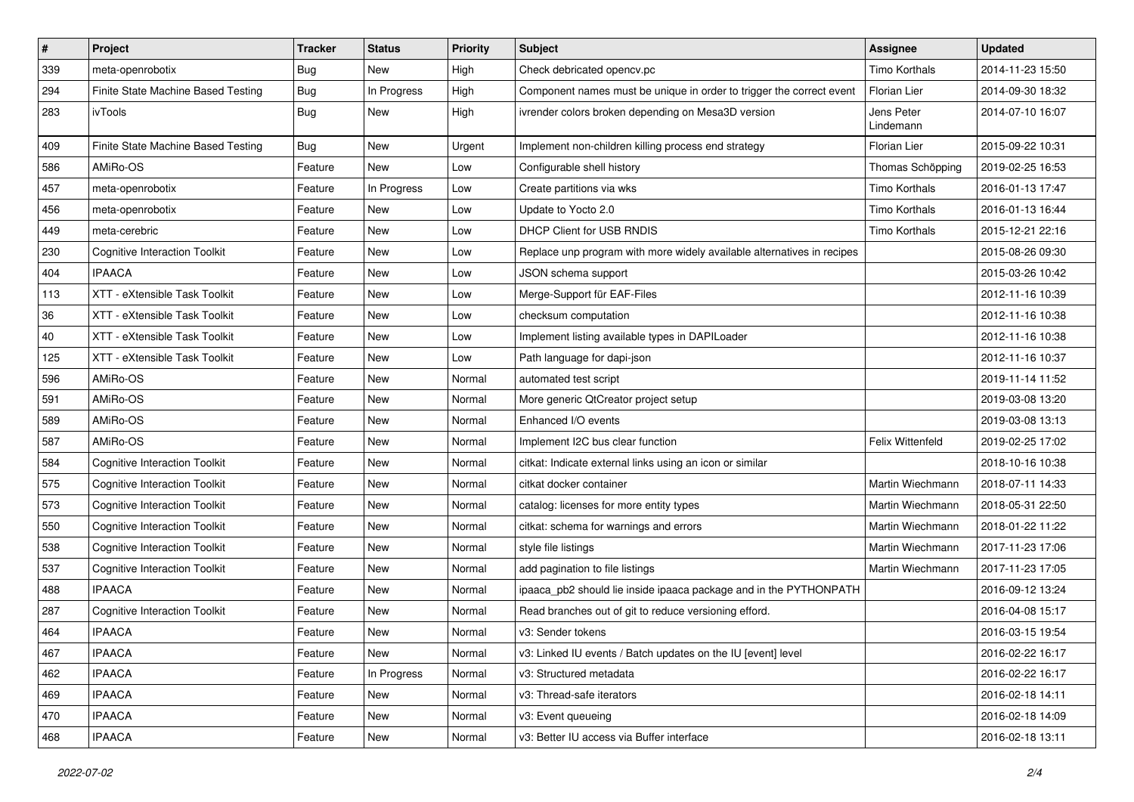| #   | Project                              | <b>Tracker</b> | <b>Status</b> | <b>Priority</b> | Subject                                                                | Assignee                | <b>Updated</b>   |
|-----|--------------------------------------|----------------|---------------|-----------------|------------------------------------------------------------------------|-------------------------|------------------|
| 339 | meta-openrobotix                     | Bug            | New           | High            | Check debricated opency.pc                                             | Timo Korthals           | 2014-11-23 15:50 |
| 294 | Finite State Machine Based Testing   | Bug            | In Progress   | High            | Component names must be unique in order to trigger the correct event   | Florian Lier            | 2014-09-30 18:32 |
| 283 | ivTools                              | Bug            | New           | High            | ivrender colors broken depending on Mesa3D version                     | Jens Peter<br>Lindemann | 2014-07-10 16:07 |
| 409 | Finite State Machine Based Testing   | Bug            | <b>New</b>    | Urgent          | Implement non-children killing process end strategy                    | Florian Lier            | 2015-09-22 10:31 |
| 586 | AMiRo-OS                             | Feature        | <b>New</b>    | Low             | Configurable shell history                                             | Thomas Schöpping        | 2019-02-25 16:53 |
| 457 | meta-openrobotix                     | Feature        | In Progress   | Low             | Create partitions via wks                                              | Timo Korthals           | 2016-01-13 17:47 |
| 456 | meta-openrobotix                     | Feature        | <b>New</b>    | Low             | Update to Yocto 2.0                                                    | Timo Korthals           | 2016-01-13 16:44 |
| 449 | meta-cerebric                        | Feature        | <b>New</b>    | Low             | DHCP Client for USB RNDIS                                              | Timo Korthals           | 2015-12-21 22:16 |
| 230 | <b>Cognitive Interaction Toolkit</b> | Feature        | New           | Low             | Replace unp program with more widely available alternatives in recipes |                         | 2015-08-26 09:30 |
| 404 | <b>IPAACA</b>                        | Feature        | New           | Low             | JSON schema support                                                    |                         | 2015-03-26 10:42 |
| 113 | XTT - eXtensible Task Toolkit        | Feature        | New           | Low             | Merge-Support für EAF-Files                                            |                         | 2012-11-16 10:39 |
| 36  | XTT - eXtensible Task Toolkit        | Feature        | <b>New</b>    | Low             | checksum computation                                                   |                         | 2012-11-16 10:38 |
| 40  | XTT - eXtensible Task Toolkit        | Feature        | New           | Low             | Implement listing available types in DAPILoader                        |                         | 2012-11-16 10:38 |
| 125 | XTT - eXtensible Task Toolkit        | Feature        | <b>New</b>    | Low             | Path language for dapi-json                                            |                         | 2012-11-16 10:37 |
| 596 | AMiRo-OS                             | Feature        | New           | Normal          | automated test script                                                  |                         | 2019-11-14 11:52 |
| 591 | AMiRo-OS                             | Feature        | New           | Normal          | More generic QtCreator project setup                                   |                         | 2019-03-08 13:20 |
| 589 | AMiRo-OS                             | Feature        | <b>New</b>    | Normal          | Enhanced I/O events                                                    |                         | 2019-03-08 13:13 |
| 587 | AMiRo-OS                             | Feature        | New           | Normal          | Implement I2C bus clear function                                       | Felix Wittenfeld        | 2019-02-25 17:02 |
| 584 | <b>Cognitive Interaction Toolkit</b> | Feature        | New           | Normal          | citkat: Indicate external links using an icon or similar               |                         | 2018-10-16 10:38 |
| 575 | <b>Cognitive Interaction Toolkit</b> | Feature        | <b>New</b>    | Normal          | citkat docker container                                                | Martin Wiechmann        | 2018-07-11 14:33 |
| 573 | <b>Cognitive Interaction Toolkit</b> | Feature        | New           | Normal          | catalog: licenses for more entity types                                | Martin Wiechmann        | 2018-05-31 22:50 |
| 550 | <b>Cognitive Interaction Toolkit</b> | Feature        | <b>New</b>    | Normal          | citkat: schema for warnings and errors                                 | Martin Wiechmann        | 2018-01-22 11:22 |
| 538 | <b>Cognitive Interaction Toolkit</b> | Feature        | New           | Normal          | style file listings                                                    | Martin Wiechmann        | 2017-11-23 17:06 |
| 537 | <b>Cognitive Interaction Toolkit</b> | Feature        | New           | Normal          | add pagination to file listings                                        | Martin Wiechmann        | 2017-11-23 17:05 |
| 488 | <b>IPAACA</b>                        | Feature        | <b>New</b>    | Normal          | ipaaca_pb2 should lie inside ipaaca package and in the PYTHONPATH      |                         | 2016-09-12 13:24 |
| 287 | <b>Cognitive Interaction Toolkit</b> | Feature        | New           | Normal          | Read branches out of git to reduce versioning efford.                  |                         | 2016-04-08 15:17 |
| 464 | <b>IPAACA</b>                        | Feature        | New           | Normal          | v3: Sender tokens                                                      |                         | 2016-03-15 19:54 |
| 467 | <b>IPAACA</b>                        | Feature        | New           | Normal          | v3: Linked IU events / Batch updates on the IU [event] level           |                         | 2016-02-22 16:17 |
| 462 | <b>IPAACA</b>                        | Feature        | In Progress   | Normal          | v3: Structured metadata                                                |                         | 2016-02-22 16:17 |
| 469 | <b>IPAACA</b>                        | Feature        | New           | Normal          | v3: Thread-safe iterators                                              |                         | 2016-02-18 14:11 |
| 470 | <b>IPAACA</b>                        | Feature        | New           | Normal          | v3: Event queueing                                                     |                         | 2016-02-18 14:09 |
| 468 | <b>IPAACA</b>                        | Feature        | New           | Normal          | v3: Better IU access via Buffer interface                              |                         | 2016-02-18 13:11 |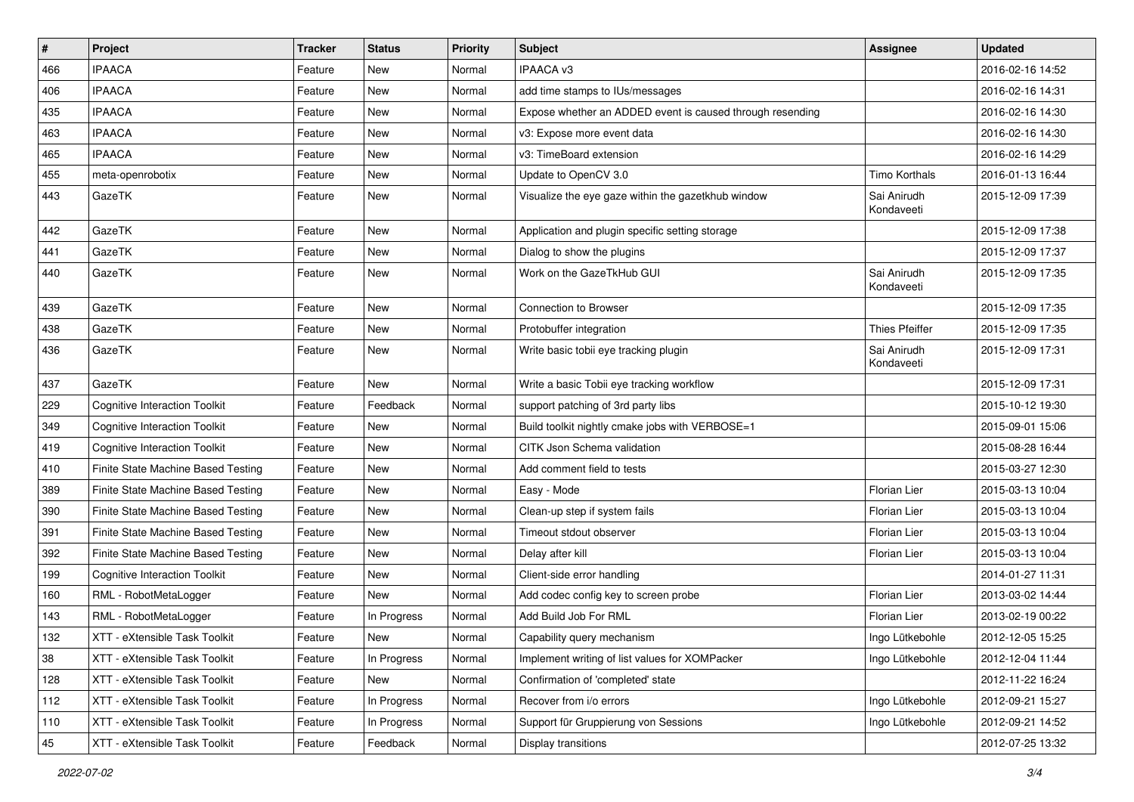| #   | Project                              | <b>Tracker</b> | <b>Status</b> | <b>Priority</b> | Subject                                                   | Assignee                  | <b>Updated</b>   |
|-----|--------------------------------------|----------------|---------------|-----------------|-----------------------------------------------------------|---------------------------|------------------|
| 466 | <b>IPAACA</b>                        | Feature        | New           | Normal          | <b>IPAACA v3</b>                                          |                           | 2016-02-16 14:52 |
| 406 | <b>IPAACA</b>                        | Feature        | <b>New</b>    | Normal          | add time stamps to IUs/messages                           |                           | 2016-02-16 14:31 |
| 435 | <b>IPAACA</b>                        | Feature        | New           | Normal          | Expose whether an ADDED event is caused through resending |                           | 2016-02-16 14:30 |
| 463 | <b>IPAACA</b>                        | Feature        | New           | Normal          | v3: Expose more event data                                |                           | 2016-02-16 14:30 |
| 465 | <b>IPAACA</b>                        | Feature        | <b>New</b>    | Normal          | v3: TimeBoard extension                                   |                           | 2016-02-16 14:29 |
| 455 | meta-openrobotix                     | Feature        | New           | Normal          | Update to OpenCV 3.0                                      | Timo Korthals             | 2016-01-13 16:44 |
| 443 | GazeTK                               | Feature        | New           | Normal          | Visualize the eye gaze within the gazetkhub window        | Sai Anirudh<br>Kondaveeti | 2015-12-09 17:39 |
| 442 | GazeTK                               | Feature        | <b>New</b>    | Normal          | Application and plugin specific setting storage           |                           | 2015-12-09 17:38 |
| 441 | GazeTK                               | Feature        | <b>New</b>    | Normal          | Dialog to show the plugins                                |                           | 2015-12-09 17:37 |
| 440 | GazeTK                               | Feature        | <b>New</b>    | Normal          | Work on the GazeTkHub GUI                                 | Sai Anirudh<br>Kondaveeti | 2015-12-09 17:35 |
| 439 | GazeTK                               | Feature        | <b>New</b>    | Normal          | Connection to Browser                                     |                           | 2015-12-09 17:35 |
| 438 | GazeTK                               | Feature        | New           | Normal          | Protobuffer integration                                   | <b>Thies Pfeiffer</b>     | 2015-12-09 17:35 |
| 436 | GazeTK                               | Feature        | New           | Normal          | Write basic tobii eye tracking plugin                     | Sai Anirudh<br>Kondaveeti | 2015-12-09 17:31 |
| 437 | GazeTK                               | Feature        | <b>New</b>    | Normal          | Write a basic Tobii eye tracking workflow                 |                           | 2015-12-09 17:31 |
| 229 | <b>Cognitive Interaction Toolkit</b> | Feature        | Feedback      | Normal          | support patching of 3rd party libs                        |                           | 2015-10-12 19:30 |
| 349 | <b>Cognitive Interaction Toolkit</b> | Feature        | New           | Normal          | Build toolkit nightly cmake jobs with VERBOSE=1           |                           | 2015-09-01 15:06 |
| 419 | <b>Cognitive Interaction Toolkit</b> | Feature        | New           | Normal          | CITK Json Schema validation                               |                           | 2015-08-28 16:44 |
| 410 | Finite State Machine Based Testing   | Feature        | <b>New</b>    | Normal          | Add comment field to tests                                |                           | 2015-03-27 12:30 |
| 389 | Finite State Machine Based Testing   | Feature        | New           | Normal          | Easy - Mode                                               | Florian Lier              | 2015-03-13 10:04 |
| 390 | Finite State Machine Based Testing   | Feature        | New           | Normal          | Clean-up step if system fails                             | Florian Lier              | 2015-03-13 10:04 |
| 391 | Finite State Machine Based Testing   | Feature        | New           | Normal          | Timeout stdout observer                                   | Florian Lier              | 2015-03-13 10:04 |
| 392 | Finite State Machine Based Testing   | Feature        | New           | Normal          | Delay after kill                                          | Florian Lier              | 2015-03-13 10:04 |
| 199 | <b>Cognitive Interaction Toolkit</b> | Feature        | <b>New</b>    | Normal          | Client-side error handling                                |                           | 2014-01-27 11:31 |
| 160 | RML - RobotMetaLogger                | Feature        | New           | Normal          | Add codec config key to screen probe                      | Florian Lier              | 2013-03-02 14:44 |
| 143 | RML - RobotMetaLogger                | Feature        | In Progress   | Normal          | Add Build Job For RML                                     | Florian Lier              | 2013-02-19 00:22 |
| 132 | XTT - eXtensible Task Toolkit        | Feature        | New           | Normal          | Capability query mechanism                                | Ingo Lütkebohle           | 2012-12-05 15:25 |
| 38  | XTT - eXtensible Task Toolkit        | Feature        | In Progress   | Normal          | Implement writing of list values for XOMPacker            | Ingo Lütkebohle           | 2012-12-04 11:44 |
| 128 | XTT - eXtensible Task Toolkit        | Feature        | New           | Normal          | Confirmation of 'completed' state                         |                           | 2012-11-22 16:24 |
| 112 | XTT - eXtensible Task Toolkit        | Feature        | In Progress   | Normal          | Recover from i/o errors                                   | Ingo Lütkebohle           | 2012-09-21 15:27 |
| 110 | XTT - eXtensible Task Toolkit        | Feature        | In Progress   | Normal          | Support für Gruppierung von Sessions                      | Ingo Lütkebohle           | 2012-09-21 14:52 |
| 45  | XTT - eXtensible Task Toolkit        | Feature        | Feedback      | Normal          | Display transitions                                       |                           | 2012-07-25 13:32 |